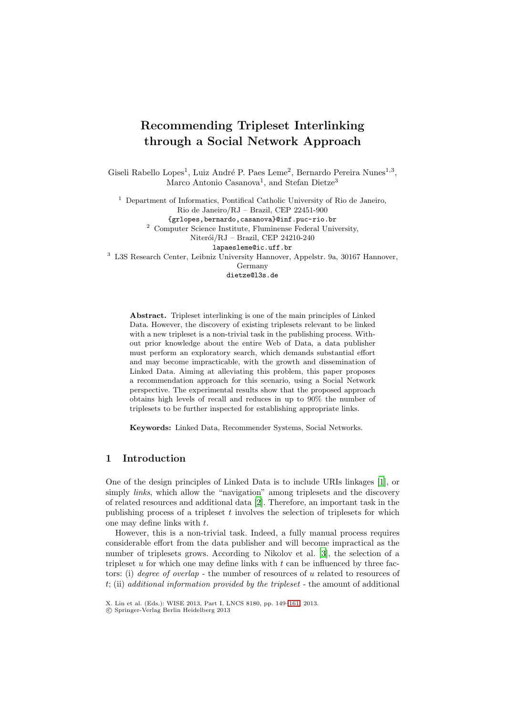# **Recommending Tripleset Interlinking through a Social Network Approach**

Giseli Rabello Lopes<sup>1</sup>, Luiz André P. Paes Leme<sup>2</sup>, Bernardo Pereira Nunes<sup>1,3</sup>, Marco Antonio Casanova<sup>1</sup>, and Stefan Dietze<sup>3</sup>

 $1$  Department of Informatics, Pontifical Catholic University of Rio de Janeiro, Rio de Janeiro/RJ – Brazil, CEP 22451-900 {grlopes,bernardo,casanova}@inf.puc-rio.br <sup>2</sup> Computer Science Institute, Fluminense Federal University,  $Niterói/RJ - Brazil, CEP 24210-240$ lapaesleme@ic.uff.br <sup>3</sup> L3S Research Center, Leibniz University Hannover, Appelstr. 9a, 30167 Hannover, Germany dietze@l3s.de

**Abstract.** Tripleset interlinking is one of the main principles of Linked Data. However, the discovery of existing triplesets relevant to be linked with a new tripleset is a non-trivial task in the publishing process. Without prior knowledge about the entire Web of Data, a data publisher must perform an exploratory search, which demands substantial effort and may become impracticable, with the growth and dissemination of Linked Data. Aiming at alleviating this problem, this paper proposes a recommendation approach for this scenario, using a Social Network perspective. The experimental results show that the proposed approach obtains high levels of recall and reduces in up to 90% the number of triplesets to be further inspected for establishing appropriate links.

**Keywords:** Linked Data, Recommender Systems, Social Networks.

## **1 Introduction**

One of the design principles of Linked Data is to include URIs linkages [\[1\]](#page-11-0), or simply *links*, which allow the "navigation" among triplesets and the discovery of related resources and additional data [\[2](#page-11-1)]. Therefore, an important task in the publishing process of a tripleset *t* involves the selection of triplesets for which one may define links with *t*.

However, this is a non-trivial task. Indeed, a fully manual process requires considerable effort from the data publisher and will become impractical as the number of triplesets grows. According to Nikolov et al. [\[3](#page-11-2)], the selection of a tripleset *u* for which one may define links with *t* can be influenced by three factors: (i) *degree of overlap* - the number of resources of *u* related to resources of *t*; (ii) *additional information provided by the tripleset* - the amount of additional

X. Lin et al. (Eds.): WISE 2013, Part I, LNCS 8180, pp. 149[–161,](#page-11-3) 2013.

<sup>-</sup>c Springer-Verlag Berlin Heidelberg 2013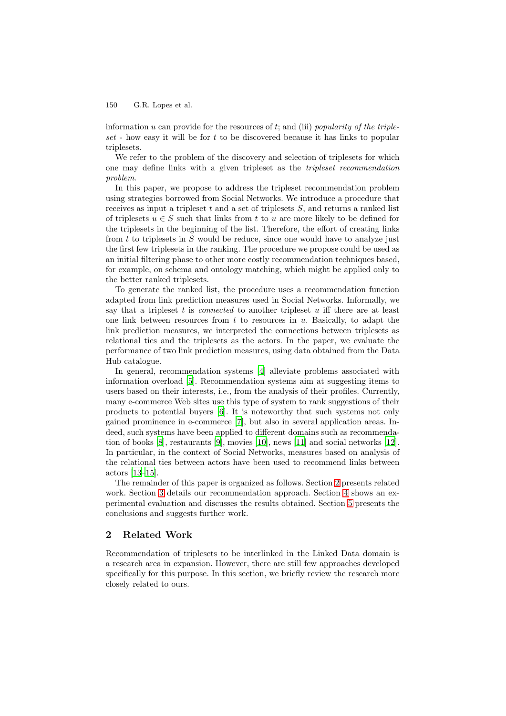information *u* can provide for the resources of *t*; and (iii) *popularity of the tripleset* - how easy it will be for *t* to be discovered because it has links to popular triplesets.

We refer to the problem of the discovery and selection of triplesets for which one may define links with a given tripleset as the *tripleset recommendation problem*.

In this paper, we propose to address the tripleset recommendation problem using strategies borrowed from Social Networks. We introduce a procedure that receives as input a tripleset *t* and a set of triplesets *S*, and returns a ranked list of triplesets  $u \in S$  such that links from  $t$  to  $u$  are more likely to be defined for the triplesets in the beginning of the list. Therefore, the effort of creating links from *t* to triplesets in *S* would be reduce, since one would have to analyze just the first few triplesets in the ranking. The procedure we propose could be used as an initial filtering phase to other more costly recommendation techniques based, for example, on schema and ontology matching, which might be applied only to the better ranked triplesets.

To generate the ranked list, the procedure uses a recommendation function adapted from link prediction measures used in Social Networks. Informally, we say that a tripleset *t* is *connected* to another tripleset *u* iff there are at least one link between resources from *t* to resources in *u*. Basically, to adapt the link prediction measures, we interpreted the connections between triplesets as relational ties and the triplesets as the actors. In the paper, we evaluate the performance of two link prediction measures, using data obtained from the Data Hub catalogue.

In general, recommendation systems [\[4](#page-11-4)] alleviate problems associated with information overload [\[5\]](#page-11-5). Recommendation systems aim at suggesting items to users based on their interests, i.e., from the analysis of their profiles. Currently, many e-commerce Web sites use this type of system to rank suggestions of their products to potential buyers [\[6](#page-11-6)]. It is noteworthy that such systems not only gained prominence in e-commerce [\[7](#page-11-7)], but also in several application areas. Indeed, such systems have been applied to different domains such as recommendation of books [\[8\]](#page-11-8), restaurants [\[9](#page-12-0)], movies [\[10\]](#page-12-1), news [\[11](#page-12-2)] and social networks [\[12\]](#page-12-3). In particular, in the context of Social Networks, measures based on analysis of the relational ties between actors have been used to recommend links between actors [\[13](#page-12-4)[–15\]](#page-12-5).

The remainder of this paper is organized as follows. Section [2](#page-1-0) presents related work. Section [3](#page-2-0) details our recommendation approach. Section [4](#page-6-0) shows an experimental evaluation and discusses the results obtained. Section [5](#page-10-0) presents the conclusions and suggests further work.

# <span id="page-1-0"></span>**2 Related Work**

Recommendation of triplesets to be interlinked in the Linked Data domain is a research area in expansion. However, there are still few approaches developed specifically for this purpose. In this section, we briefly review the research more closely related to ours.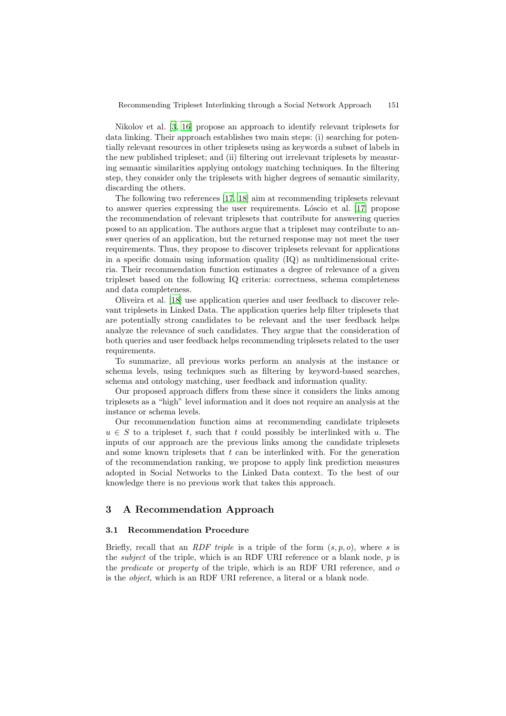Nikolov et al. [\[3](#page-11-2), [16\]](#page-12-6) propose an approach to identify relevant triplesets for data linking. Their approach establishes two main steps: (i) searching for potentially relevant resources in other triplesets using as keywords a subset of labels in the new published tripleset; and (ii) filtering out irrelevant triplesets by measuring semantic similarities applying ontology matching techniques. In the filtering step, they consider only the triplesets with higher degrees of semantic similarity, discarding the others.

The following two references [\[17,](#page-12-7) [18](#page-12-8)] aim at recommending triplesets relevant to answer queries expressing the user requirements. Lóscio et al. [\[17\]](#page-12-7) propose the recommendation of relevant triplesets that contribute for answering queries posed to an application. The authors argue that a tripleset may contribute to answer queries of an application, but the returned response may not meet the user requirements. Thus, they propose to discover triplesets relevant for applications in a specific domain using information quality (IQ) as multidimensional criteria. Their recommendation function estimates a degree of relevance of a given tripleset based on the following IQ criteria: correctness, schema completeness and data completeness.

Oliveira et al. [\[18\]](#page-12-8) use application queries and user feedback to discover relevant triplesets in Linked Data. The application queries help filter triplesets that are potentially strong candidates to be relevant and the user feedback helps analyze the relevance of such candidates. They argue that the consideration of both queries and user feedback helps recommending triplesets related to the user requirements.

To summarize, all previous works perform an analysis at the instance or schema levels, using techniques such as filtering by keyword-based searches, schema and ontology matching, user feedback and information quality.

Our proposed approach differs from these since it considers the links among triplesets as a "high" level information and it does not require an analysis at the instance or schema levels.

Our recommendation function aims at recommending candidate triplesets  $u \in S$  to a tripleset *t*, such that *t* could possibly be interlinked with *u*. The inputs of our approach are the previous links among the candidate triplesets and some known triplesets that *t* can be interlinked with. For the generation of the recommendation ranking, we propose to apply link prediction measures adopted in Social Networks to the Linked Data context. To the best of our knowledge there is no previous work that takes this approach.

# <span id="page-2-0"></span>**3 A Recommendation Approach**

#### **3.1 Recommendation Procedure**

Briefly, recall that an *RDF triple* is a triple of the form (*s, p, o*), where *s* is the *subject* of the triple, which is an RDF URI reference or a blank node, *p* is the *predicate* or *property* of the triple, which is an RDF URI reference, and *o* is the *object*, which is an RDF URI reference, a literal or a blank node.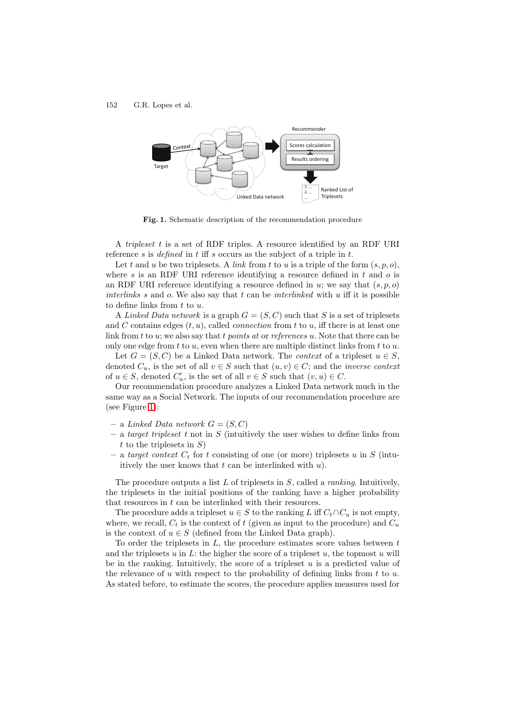

<span id="page-3-0"></span>**Fig. 1.** Schematic description of the recommendation procedure

A *tripleset t* is a set of RDF triples. A resource identified by an RDF URI reference *s* is *defined* in *t* iff *s* occurs as the subject of a triple in *t*.

Let *t* and *u* be two triplesets. A *link* from *t* to *u* is a triple of the form  $(s, p, o)$ , where *s* is an RDF URI reference identifying a resource defined in *t* and *o* is an RDF URI reference identifying a resource defined in *u*; we say that (*s, p, o*) *interlinks s* and *o*. We also say that *t* can be *interlinked* with *u* iff it is possible to define links from *t* to *u*.

A *Linked Data network* is a graph  $G = (S, C)$  such that *S* is a set of triplesets and *C* contains edges (*t, u*), called *connection* from *t* to *u*, iff there is at least one link from *t* to *u*; we also say that *t points at* or *references u*. Note that there can be only one edge from *t* to *u*, even when there are multiple distinct links from *t* to *u*.

Let  $G = (S, C)$  be a Linked Data network. The *context* of a tripleset  $u \in S$ , denoted  $C_u$ , is the set of all  $v \in S$  such that  $(u, v) \in C$ ; and the *inverse context* of  $u \in S$ , denoted  $C'_u$ , is the set of all  $v \in S$  such that  $(v, u) \in C$ .

Our recommendation procedure analyzes a Linked Data network much in the same way as a Social Network. The inputs of our recommendation procedure are (see Figure [1\)](#page-3-0):

- $-$  a *Linked Data network*  $G = (S, C)$
- **–** a *target tripleset t* not in *S* (intuitively the user wishes to define links from *t* to the triplesets in *S*)
- **–** a *target context C<sup>t</sup>* for *t* consisting of one (or more) triplesets *u* in *S* (intuitively the user knows that *t* can be interlinked with *u*).

The procedure outputs a list *L* of triplesets in *S*, called a *ranking*. Intuitively, the triplesets in the initial positions of the ranking have a higher probability that resources in *t* can be interlinked with their resources.

The procedure adds a tripleset  $u \in S$  to the ranking L iff  $C_t \cap C_u$  is not empty, where, we recall,  $C_t$  is the context of *t* (given as input to the procedure) and  $C_u$ is the context of  $u \in S$  (defined from the Linked Data graph).

To order the triplesets in *L*, the procedure estimates score values between *t* and the triplesets  $u$  in  $L$ : the higher the score of a tripleset  $u$ , the topmost  $u$  will be in the ranking. Intuitively, the score of a tripleset *u* is a predicted value of the relevance of *u* with respect to the probability of defining links from *t* to *u*. As stated before, to estimate the scores, the procedure applies measures used for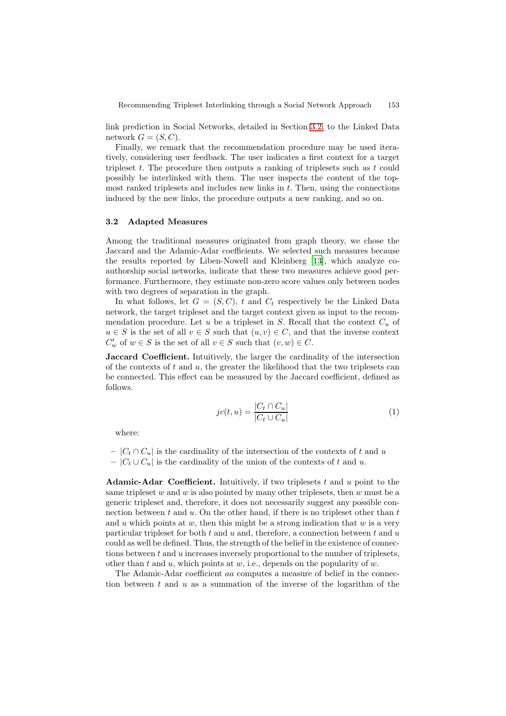link prediction in Social Networks, detailed in Section [3.2,](#page-4-0) to the Linked Data network  $G = (S, C)$ .

Finally, we remark that the recommendation procedure may be used iteratively, considering user feedback. The user indicates a first context for a target tripleset *t*. The procedure then outputs a ranking of triplesets such as *t* could possibly be interlinked with them. The user inspects the content of the topmost ranked triplesets and includes new links in *t*. Then, using the connections induced by the new links, the procedure outputs a new ranking, and so on.

#### <span id="page-4-0"></span>**3.2 Adapted Measures**

Among the traditional measures originated from graph theory, we chose the Jaccard and the Adamic-Adar coefficients. We selected such measures because the results reported by Liben-Nowell and Kleinberg [\[13\]](#page-12-4), which analyze coauthorship social networks, indicate that these two measures achieve good performance. Furthermore, they estimate non-zero score values only between nodes with two degrees of separation in the graph.

In what follows, let  $G = (S, C)$ ,  $t$  and  $C_t$  respectively be the Linked Data network, the target tripleset and the target context given as input to the recommendation procedure. Let *u* be a tripleset in *S*. Recall that the context  $C<sub>u</sub>$  of  $u \in S$  is the set of all  $v \in S$  such that  $(u, v) \in C$ , and that the inverse context  $C'_w$  of  $w \in S$  is the set of all  $v \in S$  such that  $(v, w) \in C$ .

**Jaccard Coefficient.** Intuitively, the larger the cardinality of the intersection of the contexts of *t* and *u*, the greater the likelihood that the two triplesets can be connected. This effect can be measured by the Jaccard coefficient, defined as follows.

$$
jc(t, u) = \frac{|C_t \cap C_u|}{|C_t \cup C_u|} \tag{1}
$$

where:

 $|C_t \cap C_u|$  is the cardinality of the intersection of the contexts of *t* and *u* **–** |*C<sup>t</sup>* ∪ *Cu*| is the cardinality of the union of the contexts of *t* and *u*.

**Adamic-Adar Coefficient.** Intuitively, if two triplesets *t* and *u* point to the same tripleset *w* and *w* is also pointed by many other triplesets, then *w* must be a generic tripleset and, therefore, it does not necessarily suggest any possible connection between *t* and *u*. On the other hand, if there is no tripleset other than *t* and *u* which points at *w*, then this might be a strong indication that *w* is a very particular tripleset for both *t* and *u* and, therefore, a connection between *t* and *u* could as well be defined. Thus, the strength of the belief in the existence of connections between *t* and *u* increases inversely proportional to the number of triplesets, other than *t* and *u*, which points at *w*, i.e., depends on the popularity of *w*.

The Adamic-Adar coefficient *aa* computes a measure of belief in the connection between *t* and *u* as a summation of the inverse of the logarithm of the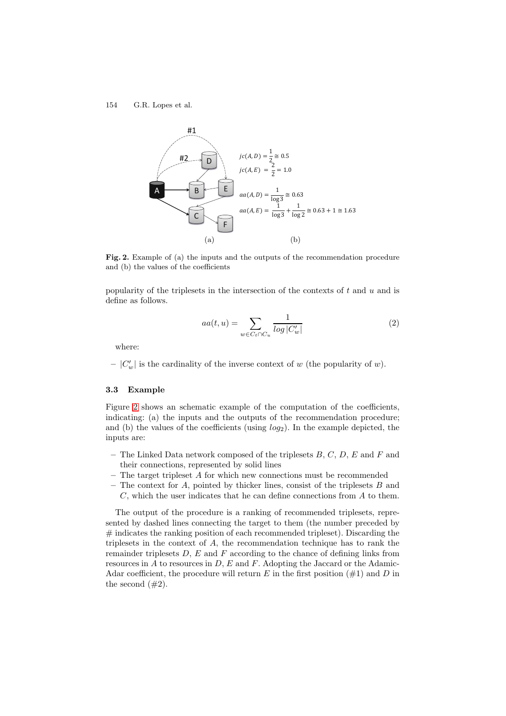

<span id="page-5-0"></span>**Fig. 2.** Example of (a) the inputs and the outputs of the recommendation procedure and (b) the values of the coefficients

popularity of the triplesets in the intersection of the contexts of *t* and *u* and is define as follows.

$$
aa(t,u) = \sum_{w \in C_t \cap C_u} \frac{1}{\log |C'_w|} \tag{2}
$$

where:

**–** |*C <sup>w</sup>*| is the cardinality of the inverse context of *w* (the popularity of *w*).

#### **3.3 Example**

Figure [2](#page-5-0) shows an schematic example of the computation of the coefficients, indicating: (a) the inputs and the outputs of the recommendation procedure; and (b) the values of the coefficients (using *log*2). In the example depicted, the inputs are:

- **–** The Linked Data network composed of the triplesets *B*, *C*, *D*, *E* and *F* and their connections, represented by solid lines
- **–** The target tripleset *A* for which new connections must be recommended
- **–** The context for *A*, pointed by thicker lines, consist of the triplesets *B* and *C*, which the user indicates that he can define connections from *A* to them.

The output of the procedure is a ranking of recommended triplesets, represented by dashed lines connecting the target to them (the number preceded by  $#$  indicates the ranking position of each recommended tripleset). Discarding the triplesets in the context of *A*, the recommendation technique has to rank the remainder triplesets *D*, *E* and *F* according to the chance of defining links from resources in *A* to resources in *D*, *E* and *F*. Adopting the Jaccard or the Adamic-Adar coefficient, the procedure will return  $E$  in the first position  $(\#1)$  and  $D$  in the second  $(\#2)$ .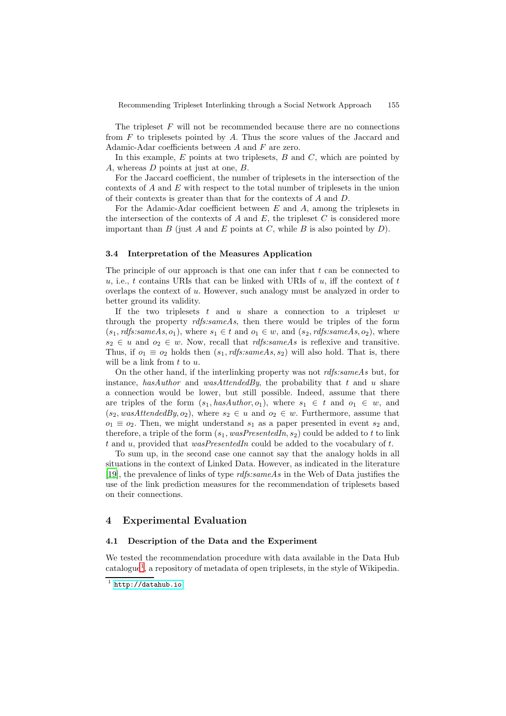The tripleset *F* will not be recommended because there are no connections from *F* to triplesets pointed by *A*. Thus the score values of the Jaccard and Adamic-Adar coefficients between *A* and *F* are zero.

In this example, *E* points at two triplesets, *B* and *C*, which are pointed by *A*, whereas *D* points at just at one, *B*.

For the Jaccard coefficient, the number of triplesets in the intersection of the contexts of *A* and *E* with respect to the total number of triplesets in the union of their contexts is greater than that for the contexts of *A* and *D*.

For the Adamic-Adar coefficient between *E* and *A*, among the triplesets in the intersection of the contexts of *A* and *E*, the tripleset *C* is considered more important than  $B$  (just  $A$  and  $E$  points at  $C$ , while  $B$  is also pointed by  $D$ ).

#### **3.4 Interpretation of the Measures Application**

The principle of our approach is that one can infer that *t* can be connected to *u*, i.e., *t* contains URIs that can be linked with URIs of *u*, iff the context of *t* overlaps the context of *u*. However, such analogy must be analyzed in order to better ground its validity.

If the two triplesets *t* and *u* share a connection to a tripleset *w* through the property *rdfs:sameAs*, then there would be triples of the form  $(s_1, rdfs: sameAs, o_1)$ , where  $s_1 \in t$  and  $o_1 \in w$ , and  $(s_2, rdfs: sameAs, o_2)$ , where  $s_2 \in u$  and  $o_2 \in w$ . Now, recall that *rdfs:sameAs* is reflexive and transitive. Thus, if  $o_1 \equiv o_2$  holds then  $(s_1, rdfs: sameAs, s_2)$  will also hold. That is, there will be a link from *t* to *u*.

On the other hand, if the interlinking property was not *rdfs:sameAs* but, for instance, *hasAuthor* and *wasAttendedBy*, the probability that *t* and *u* share a connection would be lower, but still possible. Indeed, assume that there are triples of the form  $(s_1, hasAuthor, o_1)$ , where  $s_1 \in t$  and  $o_1 \in w$ , and  $(s_2, wasAttendedBy, o_2)$ , where  $s_2 \in u$  and  $o_2 \in w$ . Furthermore, assume that  $o_1 \equiv o_2$ . Then, we might understand  $s_1$  as a paper presented in event  $s_2$  and, therefore, a triple of the form  $(s_1, wasPresentedIn, s_2)$  could be added to t to link *t* and *u*, provided that *wasPresentedIn* could be added to the vocabulary of *t*.

To sum up, in the second case one cannot say that the analogy holds in all situations in the context of Linked Data. However, as indicated in the literature [\[19](#page-12-9)], the prevalence of links of type *rdfs:sameAs* in the Web of Data justifies the use of the link prediction measures for the recommendation of triplesets based on their connections.

### <span id="page-6-0"></span>**4 Experimental Evaluation**

#### **4.1 Description of the Data and the Experiment**

We tested the recommendation procedure with data available in the Data Hub catalogue[1](#page-6-1), a repository of metadata of open triplesets, in the style of Wikipedia.

<span id="page-6-1"></span> $1$  <http://datahub.io>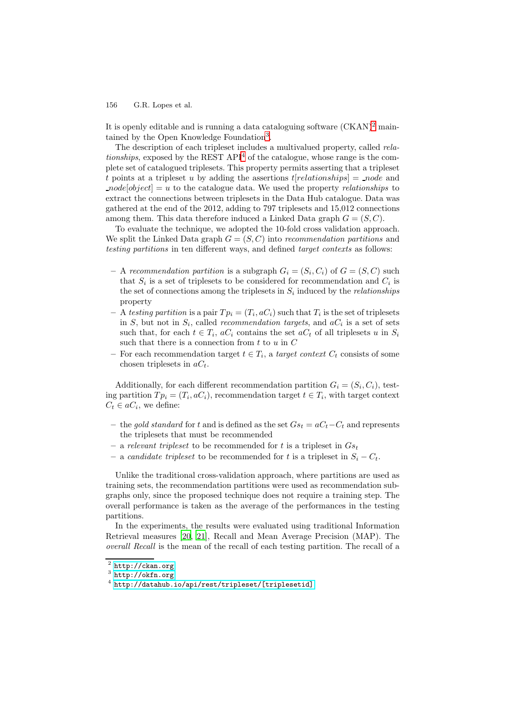It is openly editable and is running a data cataloguing software (CKAN)[2](#page-7-0) maintained by the Open Knowledge Foundation[3](#page-7-1).

The description of each tripleset includes a multivalued property, called *relationships*, exposed by the REST  $API<sup>4</sup>$  $API<sup>4</sup>$  $API<sup>4</sup>$  of the catalogue, whose range is the complete set of catalogued triplesets. This property permits asserting that a tripleset *t* points at a tripleset *u* by adding the assertions *t*[*relationships*] = *node* and *node*[*object*] = *u* to the catalogue data. We used the property *relationships* to extract the connections between triplesets in the Data Hub catalogue. Data was gathered at the end of the 2012, adding to 797 triplesets and 15,012 connections among them. This data therefore induced a Linked Data graph  $G = (S, C)$ .

To evaluate the technique, we adopted the 10-fold cross validation approach. We split the Linked Data graph  $G = (S, C)$  into *recommendation partitions* and *testing partitions* in ten different ways, and defined *target contexts* as follows:

- $-$  A *recommendation partition* is a subgraph  $G_i = (S_i, C_i)$  of  $G = (S, C)$  such that  $S_i$  is a set of triplesets to be considered for recommendation and  $C_i$  is the set of connections among the triplesets in  $S_i$  induced by the *relationships* property
- $-$  A *testing partition* is a pair  $Tp_i = (T_i, aC_i)$  such that  $T_i$  is the set of triplesets in *S*, but not in  $S_i$ , called *recommendation targets*, and  $aC_i$  is a set of sets such that, for each  $t \in T_i$ ,  $a_i$ <sup>*C*</sup>*i* contains the set  $a_i$ <sup>*Ct*</sup> of all triplesets *u* in  $S_i$ such that there is a connection from *t* to *u* in *C*
- **–** For each recommendation target *t* ∈ *Ti*, a *target context C<sup>t</sup>* consists of some chosen triplesets in *aCt*.

Additionally, for each different recommendation partition  $G_i = (S_i, C_i)$ , testing partition  $Tp_i = (T_i, aC_i)$ , recommendation target  $t \in T_i$ , with target context  $C_t \in aC_i$ , we define:

- $−$  the *gold standard* for *t* and is defined as the set  $Gs_t = aC_t C_t$  and represents the triplesets that must be recommended
- **–** a *relevant tripleset* to be recommended for *t* is a tripleset in *Gs<sup>t</sup>*
- **–** a *candidate tripleset* to be recommended for *t* is a tripleset in *S<sup>i</sup>* − *Ct*.

Unlike the traditional cross-validation approach, where partitions are used as training sets, the recommendation partitions were used as recommendation subgraphs only, since the proposed technique does not require a training step. The overall performance is taken as the average of the performances in the testing partitions.

In the experiments, the results were evaluated using traditional Information Retrieval measures [\[20,](#page-12-10) [21\]](#page-12-11), Recall and Mean Average Precision (MAP). The *overall Recall* is the mean of the recall of each testing partition. The recall of a

 $\overline{2 \text{ http://ckan.org}}$  $\overline{2 \text{ http://ckan.org}}$  $\overline{2 \text{ http://ckan.org}}$ 

<span id="page-7-0"></span> $3$  <http://okfn.org>

<span id="page-7-2"></span><span id="page-7-1"></span><sup>4</sup> [http://datahub.io/api/rest/tripleset/\[triplesetid\]](http://datahub.io/api/rest/tripleset/[tripleset id])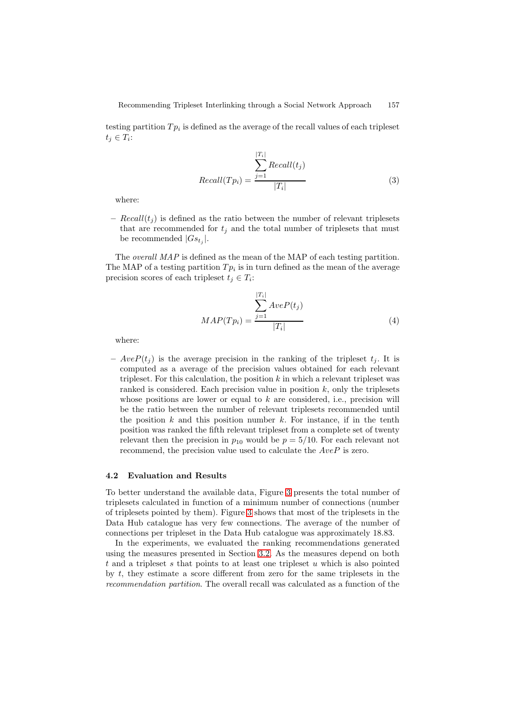testing partition  $Tp_i$  is defined as the average of the recall values of each tripleset  $t_i \in T_i$ :

$$
Recall(Tp_i) = \frac{\sum_{j=1}^{|T_i|} Recall(t_j)}{|T_i|}
$$
\n(3)

where:

**–** *Recall*(*tj*) is defined as the ratio between the number of relevant triplesets that are recommended for  $t_j$  and the total number of triplesets that must be recommended  $|Gs_t|$ .

The *overall MAP* is defined as the mean of the MAP of each testing partition. The MAP of a testing partition  $Tp_i$  is in turn defined as the mean of the average precision scores of each tripleset  $t_j \in T_i$ :

$$
MAP(Tp_i) = \frac{\sum_{j=1}^{|T_i|} AveP(t_j)}{|T_i|}
$$
\n(4)

where:

 $- AveP(t_i)$  is the average precision in the ranking of the tripleset  $t_i$ . It is computed as a average of the precision values obtained for each relevant tripleset. For this calculation, the position *k* in which a relevant tripleset was ranked is considered. Each precision value in position  $k$ , only the triplesets whose positions are lower or equal to *k* are considered, i.e., precision will be the ratio between the number of relevant triplesets recommended until the position *k* and this position number *k*. For instance, if in the tenth position was ranked the fifth relevant tripleset from a complete set of twenty relevant then the precision in  $p_{10}$  would be  $p = 5/10$ . For each relevant not recommend, the precision value used to calculate the *AveP* is zero.

#### **4.2 Evaluation and Results**

To better understand the available data, Figure [3](#page-9-0) presents the total number of triplesets calculated in function of a minimum number of connections (number of triplesets pointed by them). Figure [3](#page-9-0) shows that most of the triplesets in the Data Hub catalogue has very few connections. The average of the number of connections per tripleset in the Data Hub catalogue was approximately 18.83.

In the experiments, we evaluated the ranking recommendations generated using the measures presented in Section [3.2.](#page-4-0) As the measures depend on both *t* and a tripleset *s* that points to at least one tripleset *u* which is also pointed by *t*, they estimate a score different from zero for the same triplesets in the *recommendation partition*. The overall recall was calculated as a function of the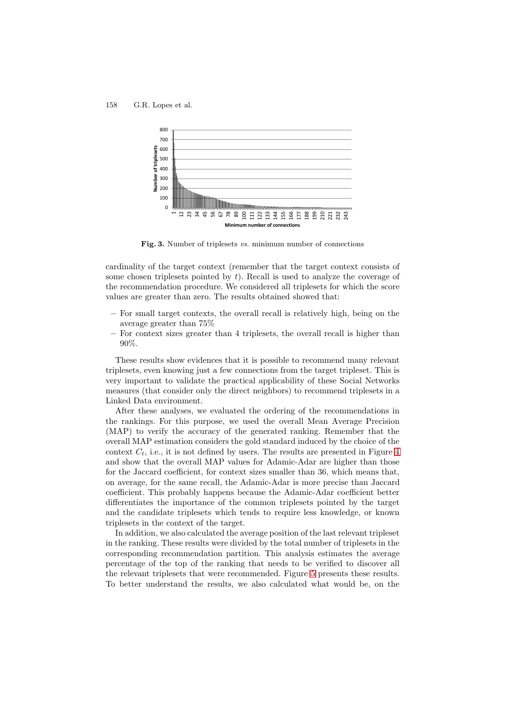

<span id="page-9-0"></span>**Fig. 3.** Number of triplesets *vs.* minimum number of connections

cardinality of the target context (remember that the target context consists of some chosen triplesets pointed by *t*). Recall is used to analyze the coverage of the recommendation procedure. We considered all triplesets for which the score values are greater than zero. The results obtained showed that:

- **–** For small target contexts, the overall recall is relatively high, being on the average greater than 75%
- **–** For context sizes greater than 4 triplesets, the overall recall is higher than 90%.

These results show evidences that it is possible to recommend many relevant triplesets, even knowing just a few connections from the target tripleset. This is very important to validate the practical applicability of these Social Networks measures (that consider only the direct neighbors) to recommend triplesets in a Linked Data environment.

After these analyses, we evaluated the ordering of the recommendations in the rankings. For this purpose, we used the overall Mean Average Precision (MAP) to verify the accuracy of the generated ranking. Remember that the overall MAP estimation considers the gold standard induced by the choice of the context  $C_t$ , i.e., it is not defined by users. The results are presented in Figure [4](#page-10-1) and show that the overall MAP values for Adamic-Adar are higher than those for the Jaccard coefficient, for context sizes smaller than 36, which means that, on average, for the same recall, the Adamic-Adar is more precise than Jaccard coefficient. This probably happens because the Adamic-Adar coefficient better differentiates the importance of the common triplesets pointed by the target and the candidate triplesets which tends to require less knowledge, or known triplesets in the context of the target.

In addition, we also calculated the average position of the last relevant tripleset in the ranking. These results were divided by the total number of triplesets in the corresponding recommendation partition. This analysis estimates the average percentage of the top of the ranking that needs to be verified to discover all the relevant triplesets that were recommended. Figure [5](#page-10-2) presents these results. To better understand the results, we also calculated what would be, on the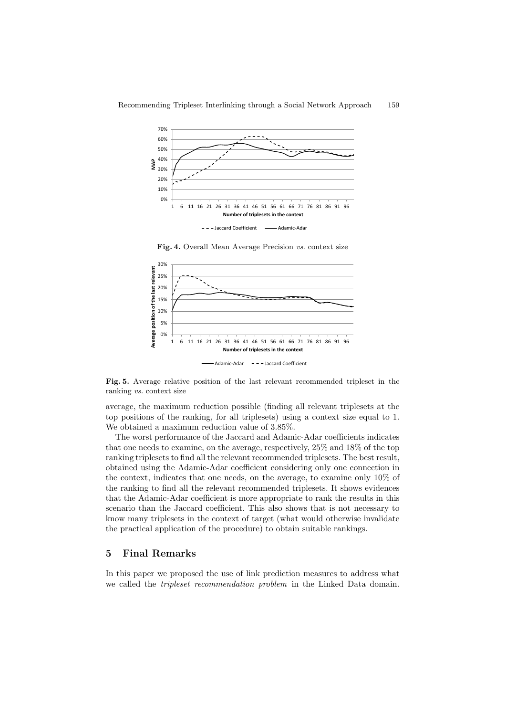

<span id="page-10-1"></span>**Fig. 4.** Overall Mean Average Precision *vs.* context size



<span id="page-10-2"></span>**Fig. 5.** Average relative position of the last relevant recommended tripleset in the ranking *vs.* context size

average, the maximum reduction possible (finding all relevant triplesets at the top positions of the ranking, for all triplesets) using a context size equal to 1. We obtained a maximum reduction value of 3.85%.

The worst performance of the Jaccard and Adamic-Adar coefficients indicates that one needs to examine, on the average, respectively, 25% and 18% of the top ranking triplesets to find all the relevant recommended triplesets. The best result, obtained using the Adamic-Adar coefficient considering only one connection in the context, indicates that one needs, on the average, to examine only 10% of the ranking to find all the relevant recommended triplesets. It shows evidences that the Adamic-Adar coefficient is more appropriate to rank the results in this scenario than the Jaccard coefficient. This also shows that is not necessary to know many triplesets in the context of target (what would otherwise invalidate the practical application of the procedure) to obtain suitable rankings.

# <span id="page-10-0"></span>**5 Final Remarks**

In this paper we proposed the use of link prediction measures to address what we called the *tripleset recommendation problem* in the Linked Data domain.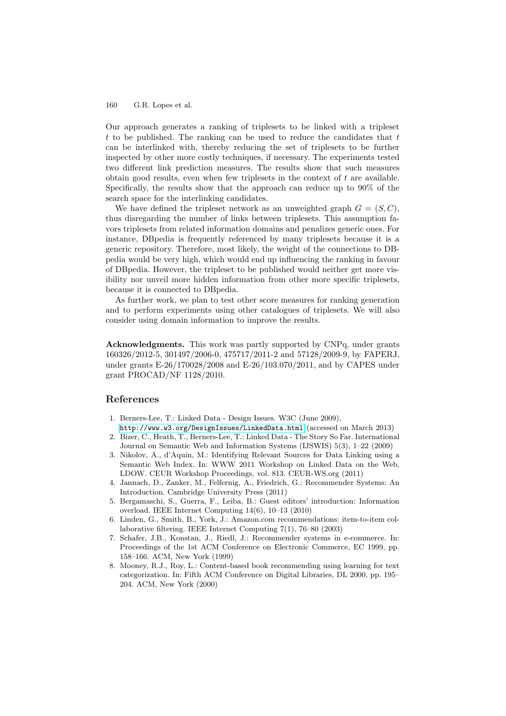Our approach generates a ranking of triplesets to be linked with a tripleset *t* to be published. The ranking can be used to reduce the candidates that *t* can be interlinked with, thereby reducing the set of triplesets to be further inspected by other more costly techniques, if necessary. The experiments tested two different link prediction measures. The results show that such measures obtain good results, even when few triplesets in the context of *t* are available. Specifically, the results show that the approach can reduce up to 90% of the search space for the interlinking candidates.

We have defined the tripleset network as an unweighted graph  $G = (S, C)$ , thus disregarding the number of links between triplesets. This assumption favors triplesets from related information domains and penalizes generic ones. For instance, DBpedia is frequently referenced by many triplesets because it is a generic repository. Therefore, most likely, the weight of the connections to DBpedia would be very high, which would end up influencing the ranking in favour of DBpedia. However, the tripleset to be published would neither get more visibility nor unveil more hidden information from other more specific triplesets, because it is connected to DBpedia.

As further work, we plan to test other score measures for ranking generation and to perform experiments using other catalogues of triplesets. We will also consider using domain information to improve the results.

**Acknowledgments.** This work was partly supported by CNPq, under grants 160326/2012-5, 301497/2006-0, 475717/2011-2 and 57128/2009-9, by FAPERJ, under grants E-26/170028/2008 and E-26/103.070/2011, and by CAPES under grant PROCAD/NF 1128/2010.

## **References**

- <span id="page-11-3"></span><span id="page-11-0"></span>1. Berners-Lee, T.: Linked Data - Design Issues. W3C (June 2009),
- <span id="page-11-1"></span><http://www.w3.org/DesignIssues/LinkedData.html> (accessed on March 2013) 2. Bizer, C., Heath, T., Berners-Lee, T.: Linked Data - The Story So Far. International Journal on Semantic Web and Information Systems (IJSWIS) 5(3), 1–22 (2009)
- <span id="page-11-2"></span>3. Nikolov, A., d'Aquin, M.: Identifying Relevant Sources for Data Linking using a Semantic Web Index. In: WWW 2011 Workshop on Linked Data on the Web, LDOW. CEUR Workshop Proceedings, vol. 813. CEUR-WS.org (2011)
- <span id="page-11-4"></span>4. Jannach, D., Zanker, M., Felfernig, A., Friedrich, G.: Recommender Systems: An Introduction. Cambridge University Press (2011)
- <span id="page-11-5"></span>5. Bergamaschi, S., Guerra, F., Leiba, B.: Guest editors' introduction: Information overload. IEEE Internet Computing 14(6), 10–13 (2010)
- <span id="page-11-6"></span>6. Linden, G., Smith, B., York, J.: Amazon.com recommendations: item-to-item collaborative filtering. IEEE Internet Computing 7(1), 76–80 (2003)
- <span id="page-11-7"></span>7. Schafer, J.B., Konstan, J., Riedl, J.: Recommender systems in e-commerce. In: Proceedings of the 1st ACM Conference on Electronic Commerce, EC 1999, pp. 158–166. ACM, New York (1999)
- <span id="page-11-8"></span>8. Mooney, R.J., Roy, L.: Content-based book recommending using learning for text categorization. In: Fifth ACM Conference on Digital Libraries, DL 2000, pp. 195– 204. ACM, New York (2000)